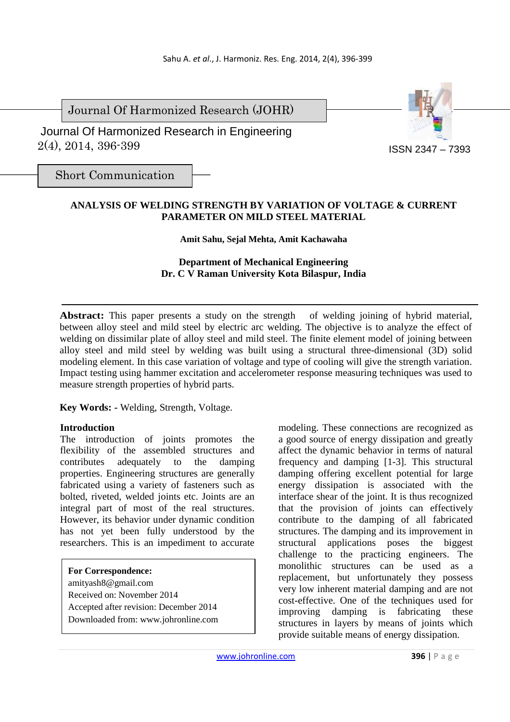Journal Of Harmonized Research (JOHR)

 2(4), 2014, 396-399 Journal Of Harmonized Research in Engineering



Short Communication

# **ANALYSIS OF WELDING STRENGTH BY VARIATION OF VOLTAGE & CURRENT PARAMETER ON MILD STEEL MATERIAL**

### **Amit Sahu, Sejal Mehta, Amit Kachawaha**

# **Department of Mechanical Engineering Dr. C V Raman University Kota Bilaspur, India**

Abstract: This paper presents a study on the strength of welding joining of hybrid material, between alloy steel and mild steel by electric arc welding. The objective is to analyze the effect of welding on dissimilar plate of alloy steel and mild steel. The finite element model of joining between alloy steel and mild steel by welding was built using a structural three-dimensional (3D) solid modeling element. In this case variation of voltage and type of cooling will give the strength variation. Impact testing using hammer excitation and accelerometer response measuring techniques was used to measure strength properties of hybrid parts.

### **Key Words: -** Welding, Strength, Voltage.

### **Introduction**

The introduction of joints promotes the flexibility of the assembled structures and contributes adequately to the damping properties. Engineering structures are generally fabricated using a variety of fasteners such as bolted, riveted, welded joints etc. Joints are an integral part of most of the real structures. However, its behavior under dynamic condition has not yet been fully understood by the researchers. This is an impediment to accurate

- **For Correspondence:**  amityash8@gmail.com Received on: November 2014 Accepted after revision: December 2014
- Downloaded from: www.johronline.com

modeling. These connections are recognized as a good source of energy dissipation and greatly affect the dynamic behavior in terms of natural frequency and damping [1-3]. This structural damping offering excellent potential for large energy dissipation is associated with the interface shear of the joint. It is thus recognized that the provision of joints can effectively contribute to the damping of all fabricated structures. The damping and its improvement in structural applications poses the biggest challenge to the practicing engineers. The monolithic structures can be used as a replacement, but unfortunately they possess very low inherent material damping and are not cost-effective. One of the techniques used for improving damping is fabricating these structures in layers by means of joints which provide suitable means of energy dissipation.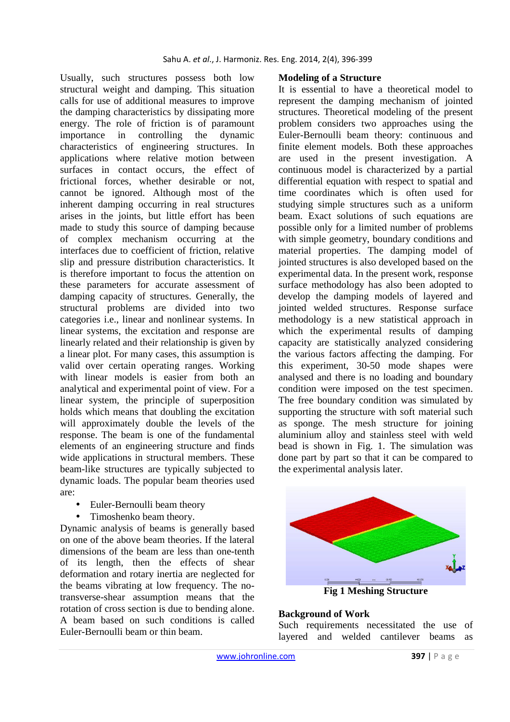Usually, such structures possess both low structural weight and damping. This situation calls for use of additional measures to improve the damping characteristics by dissipating more energy. The role of friction is of paramount importance in controlling the dynamic characteristics of engineering structures. In applications where relative motion between surfaces in contact occurs, the effect of frictional forces, whether desirable or not, cannot be ignored. Although most of the inherent damping occurring in real structures arises in the joints, but little effort has been made to study this source of damping because of complex mechanism occurring at the interfaces due to coefficient of friction, relative slip and pressure distribution characteristics. It is therefore important to focus the attention on these parameters for accurate assessment of damping capacity of structures. Generally, the structural problems are divided into two categories i.e., linear and nonlinear systems. In linear systems, the excitation and response are linearly related and their relationship is given by a linear plot. For many cases, this assumption is valid over certain operating ranges. Working with linear models is easier from both an analytical and experimental point of view. For a linear system, the principle of superposition holds which means that doubling the excitation will approximately double the levels of the response. The beam is one of the fundamental elements of an engineering structure and finds wide applications in structural members. These beam-like structures are typically subjected to dynamic loads. The popular beam theories used are:

- Euler-Bernoulli beam theory
- Timoshenko beam theory.

Dynamic analysis of beams is generally based on one of the above beam theories. If the lateral dimensions of the beam are less than one-tenth of its length, then the effects of shear deformation and rotary inertia are neglected for the beams vibrating at low frequency. The notransverse-shear assumption means that the rotation of cross section is due to bending alone. A beam based on such conditions is called Euler-Bernoulli beam or thin beam.

#### **Modeling of a Structure**

It is essential to have a theoretical model to represent the damping mechanism of jointed structures. Theoretical modeling of the present problem considers two approaches using the Euler-Bernoulli beam theory: continuous and finite element models. Both these approaches are used in the present investigation. A continuous model is characterized by a partial differential equation with respect to spatial and time coordinates which is often used for studying simple structures such as a uniform beam. Exact solutions of such equations are possible only for a limited number of problems with simple geometry, boundary conditions and material properties. The damping model of jointed structures is also developed based on the experimental data. In the present work, response surface methodology has also been adopted to develop the damping models of layered and jointed welded structures. Response surface methodology is a new statistical approach in which the experimental results of damping capacity are statistically analyzed considering the various factors affecting the damping. For this experiment, 30-50 mode shapes were analysed and there is no loading and boundary condition were imposed on the test specimen. The free boundary condition was simulated by supporting the structure with soft material such as sponge. The mesh structure for joining aluminium alloy and stainless steel with weld bead is shown in Fig. 1. The simulation was done part by part so that it can be compared to the experimental analysis later.



**Fig 1 Meshing Structure** 

# **Background of Work**

Such requirements necessitated the use of layered and welded cantilever beams as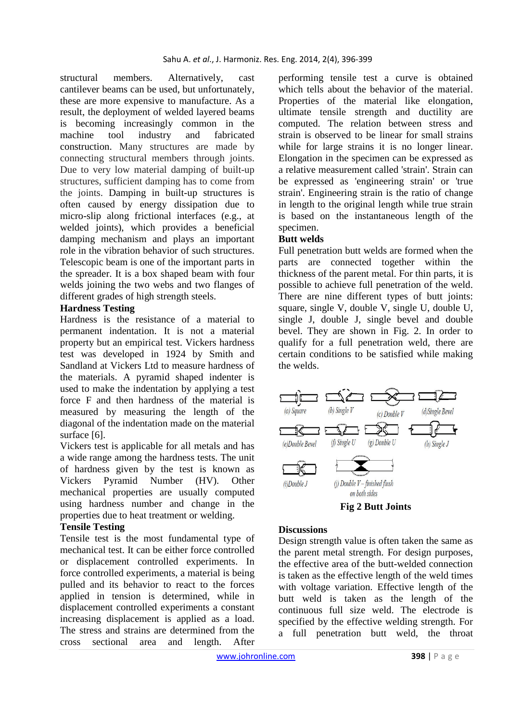structural members. Alternatively, cast cantilever beams can be used, but unfortunately, these are more expensive to manufacture. As a result, the deployment of welded layered beams is becoming increasingly common in the machine tool industry and fabricated construction. Many structures are made by connecting structural members through joints. Due to very low material damping of built-up structures, sufficient damping has to come from the joints. Damping in built-up structures is often caused by energy dissipation due to micro-slip along frictional interfaces (e.g., at welded joints), which provides a beneficial damping mechanism and plays an important role in the vibration behavior of such structures. Telescopic beam is one of the important parts in the spreader. It is a box shaped beam with four welds joining the two webs and two flanges of different grades of high strength steels.

### **Hardness Testing**

Hardness is the resistance of a material to permanent indentation. It is not a material property but an empirical test. Vickers hardness test was developed in 1924 by Smith and Sandland at Vickers Ltd to measure hardness of the materials. A pyramid shaped indenter is used to make the indentation by applying a test force F and then hardness of the material is measured by measuring the length of the diagonal of the indentation made on the material surface [6].

Vickers test is applicable for all metals and has a wide range among the hardness tests. The unit of hardness given by the test is known as Vickers Pyramid Number (HV). Other mechanical properties are usually computed using hardness number and change in the properties due to heat treatment or welding.

### **Tensile Testing**

Tensile test is the most fundamental type of mechanical test. It can be either force controlled or displacement controlled experiments. In force controlled experiments, a material is being pulled and its behavior to react to the forces applied in tension is determined, while in displacement controlled experiments a constant increasing displacement is applied as a load. The stress and strains are determined from the cross sectional area and length. After

performing tensile test a curve is obtained which tells about the behavior of the material. Properties of the material like elongation, ultimate tensile strength and ductility are computed. The relation between stress and strain is observed to be linear for small strains while for large strains it is no longer linear. Elongation in the specimen can be expressed as a relative measurement called 'strain'. Strain can be expressed as 'engineering strain' or 'true strain'. Engineering strain is the ratio of change in length to the original length while true strain is based on the instantaneous length of the specimen.

# **Butt welds**

Full penetration butt welds are formed when the parts are connected together within the thickness of the parent metal. For thin parts, it is possible to achieve full penetration of the weld. There are nine different types of butt joints: square, single V, double V, single U, double U, single J, double J, single bevel and double bevel. They are shown in Fig. 2. In order to qualify for a full penetration weld, there are certain conditions to be satisfied while making the welds.



### **Discussions**

Design strength value is often taken the same as the parent metal strength. For design purposes, the effective area of the butt-welded connection is taken as the effective length of the weld times with voltage variation. Effective length of the butt weld is taken as the length of the continuous full size weld. The electrode is specified by the effective welding strength. For a full penetration butt weld, the throat